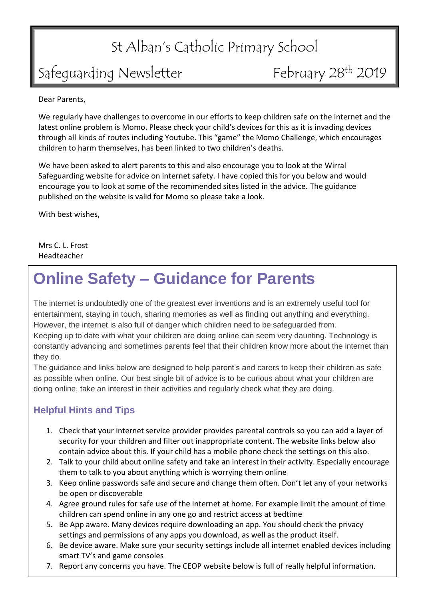# St Alban's Catholic Primary School

## Safeguarding Newsletter

February 28th 2019

Dear Parents,

We regularly have challenges to overcome in our efforts to keep children safe on the internet and the latest online problem is Momo. Please check your child's devices for this as it is invading devices through all kinds of routes including Youtube. This "game" the Momo Challenge, which encourages children to harm themselves, has been linked to two children's deaths.

We have been asked to alert parents to this and also encourage you to look at the Wirral Safeguarding website for advice on internet safety. I have copied this for you below and would encourage you to look at some of the recommended sites listed in the advice. The guidance published on the website is valid for Momo so please take a look.

With best wishes,

Mrs C. L. Frost Headteacher

## **Online Safety – Guidance for Parents**

The internet is undoubtedly one of the greatest ever inventions and is an extremely useful tool for entertainment, staying in touch, sharing memories as well as finding out anything and everything. However, the internet is also full of danger which children need to be safeguarded from. Keeping up to date with what your children are doing online can seem very daunting. Technology is constantly advancing and sometimes parents feel that their children know more about the internet than they do.

The guidance and links below are designed to help parent's and carers to keep their children as safe as possible when online. Our best single bit of advice is to be curious about what your children are doing online, take an interest in their activities and regularly check what they are doing.

### **Helpful Hints and Tips**

- 1. Check that your internet service provider provides parental controls so you can add a layer of security for your children and filter out inappropriate content. The website links below also contain advice about this. If your child has a mobile phone check the settings on this also.
- 2. Talk to your child about online safety and take an interest in their activity. Especially encourage them to talk to you about anything which is worrying them online
- 3. Keep online passwords safe and secure and change them often. Don't let any of your networks be open or discoverable
- 4. Agree ground rules for safe use of the internet at home. For example limit the amount of time children can spend online in any one go and restrict access at bedtime
- 5. Be App aware. Many devices require downloading an app. You should check the privacy settings and permissions of any apps you download, as well as the product itself.
- 6. Be device aware. Make sure your security settings include all internet enabled devices including smart TV's and game consoles
- 7. Report any concerns you have. The CEOP website below is full of really helpful information.